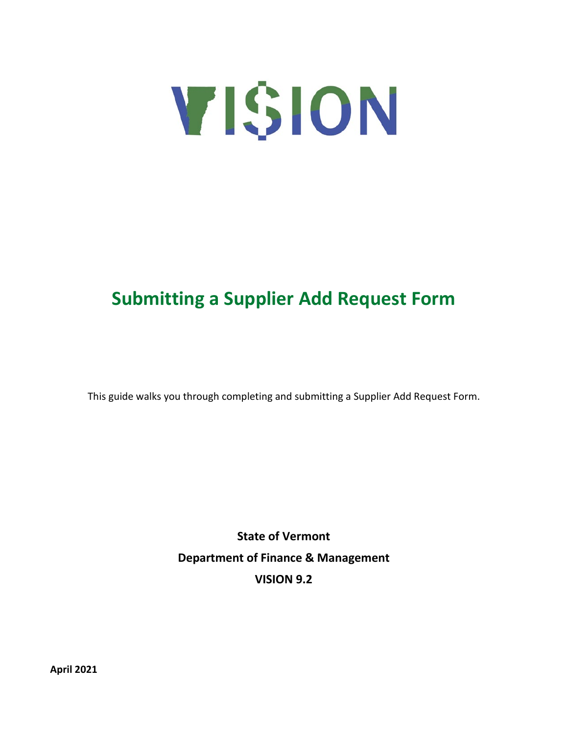

# **Submitting a Supplier Add Request Form**

This guide walks you through completing and submitting a Supplier Add Request Form.

**State of Vermont Department of Finance & Management VISION 9.2**

**April 2021**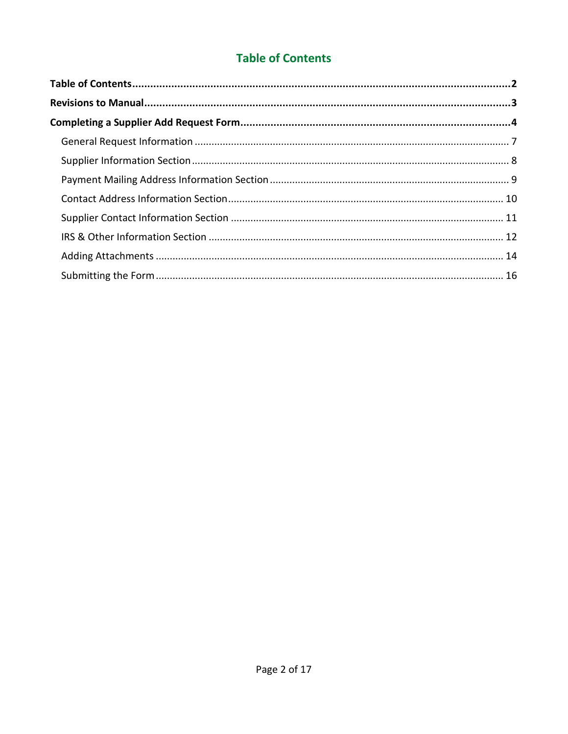### **Table of Contents**

<span id="page-1-0"></span>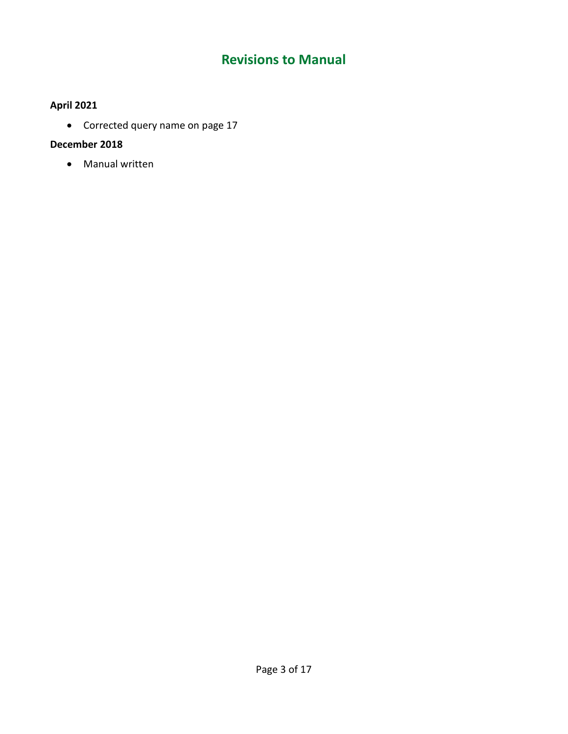## **Revisions to Manual**

### <span id="page-2-0"></span>**April 2021**

• Corrected query name on page 17

### **December 2018**

• Manual written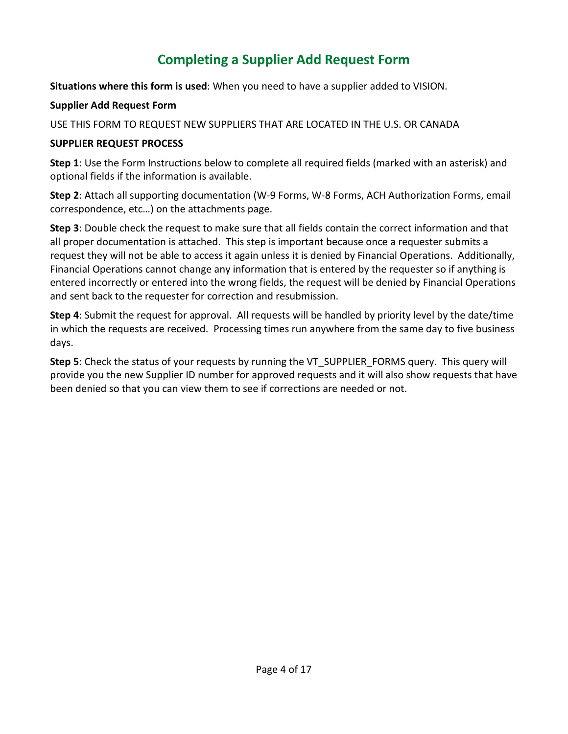# **Completing a Supplier Add Request Form**

<span id="page-3-0"></span>**Situations where this form is used**: When you need to have a supplier added to VISION.

#### **Supplier Add Request Form**

USE THIS FORM TO REQUEST NEW SUPPLIERS THAT ARE LOCATED IN THE U.S. OR CANADA

### **SUPPLIER REQUEST PROCESS**

**Step 1**: Use the Form Instructions below to complete all required fields (marked with an asterisk) and optional fields if the information is available.

**Step 2**: Attach all supporting documentation (W-9 Forms, W-8 Forms, ACH Authorization Forms, email correspondence, etc…) on the attachments page.

**Step 3**: Double check the request to make sure that all fields contain the correct information and that all proper documentation is attached. This step is important because once a requester submits a request they will not be able to access it again unless it is denied by Financial Operations. Additionally, Financial Operations cannot change any information that is entered by the requester so if anything is entered incorrectly or entered into the wrong fields, the request will be denied by Financial Operations and sent back to the requester for correction and resubmission.

**Step 4**: Submit the request for approval. All requests will be handled by priority level by the date/time in which the requests are received. Processing times run anywhere from the same day to five business days.

**Step 5**: Check the status of your requests by running the VT\_SUPPLIER\_FORMS query. This query will provide you the new Supplier ID number for approved requests and it will also show requests that have been denied so that you can view them to see if corrections are needed or not.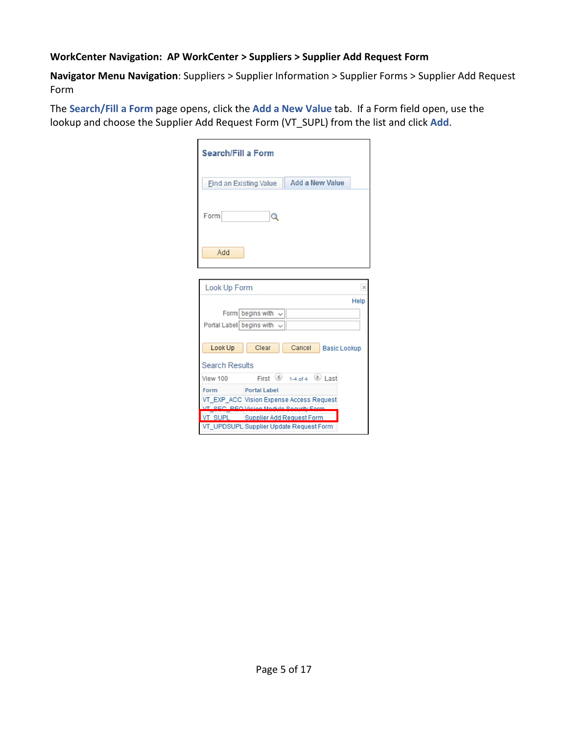#### **WorkCenter Navigation: AP WorkCenter > Suppliers > Supplier Add Request Form**

**Navigator Menu Navigation**: Suppliers > Supplier Information > Supplier Forms > Supplier Add Request Form

The **Search/Fill a Form** page opens, click the **Add a New Value** tab. If a Form field open, use the lookup and choose the Supplier Add Request Form (VT\_SUPL) from the list and click **Add**.

| Search/Fill a Form                      |                                          |                                           |                     |          |
|-----------------------------------------|------------------------------------------|-------------------------------------------|---------------------|----------|
| Find an Existing Value                  |                                          | <b>Add a New Value</b>                    |                     |          |
| Form                                    | Q                                        |                                           |                     |          |
| Add                                     |                                          |                                           |                     |          |
|                                         |                                          |                                           |                     | $\times$ |
| Look Up Form                            |                                          |                                           |                     |          |
|                                         |                                          |                                           |                     | Help     |
|                                         | Form begins with $\sqrt{}$               |                                           |                     |          |
| Portal Label begins with                |                                          |                                           |                     |          |
|                                         |                                          |                                           |                     |          |
| Look Up                                 | Clear                                    | Cancel                                    | <b>Basic Lookup</b> |          |
| <b>Search Results</b>                   |                                          |                                           |                     |          |
| View 100                                |                                          | First $\bigcirc$ 1-4 of 4 $\bigcirc$ Last |                     |          |
| Form                                    | <b>Portal Label</b>                      |                                           |                     |          |
|                                         | VT_EXP_ACC_Vision Expense Access Request |                                           |                     |          |
| <b>CEO</b>                              | <b>REO Vicion Module Security Form</b>   |                                           |                     |          |
| <b>VT SUPL</b>                          | <b>Supplier Add Request Form</b>         |                                           |                     |          |
| VT UPDSUPL Supplier Update Request Form |                                          |                                           |                     |          |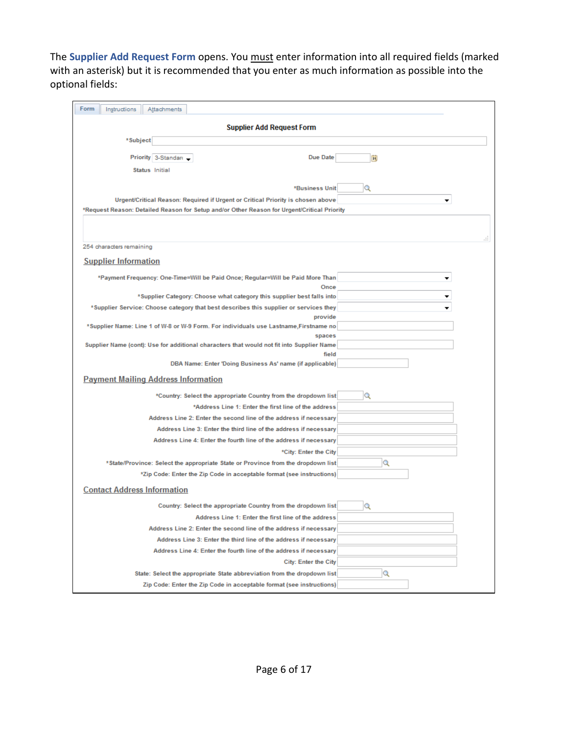The **Supplier Add Request Form** opens. You must enter information into all required fields (marked with an asterisk) but it is recommended that you enter as much information as possible into the optional fields:

| Form<br>Instructions<br>Attachments                                                                                                                             |     |
|-----------------------------------------------------------------------------------------------------------------------------------------------------------------|-----|
| <b>Supplier Add Request Form</b>                                                                                                                                |     |
| *Subject                                                                                                                                                        |     |
| Due Date<br>Priority 3-Standard                                                                                                                                 | BU. |
| Status Initial                                                                                                                                                  |     |
|                                                                                                                                                                 |     |
| <b>*Business Unit</b>                                                                                                                                           | Q   |
| Urgent/Critical Reason: Required if Urgent or Critical Priority is chosen above                                                                                 |     |
| *Request Reason: Detailed Reason for Setup and/or Other Reason for Urgent/Critical Priority                                                                     |     |
|                                                                                                                                                                 |     |
| 254 characters remaining                                                                                                                                        | đ.  |
|                                                                                                                                                                 |     |
| <b>Supplier Information</b>                                                                                                                                     |     |
| *Payment Frequency: One-Time=Will be Paid Once; Regular=Will be Paid More Than                                                                                  |     |
| Once                                                                                                                                                            |     |
| *Supplier Category: Choose what category this supplier best falls into<br>*Supplier Service: Choose category that best describes this supplier or services they |     |
| provide                                                                                                                                                         |     |
| *Supplier Name: Line 1 of W-8 or W-9 Form. For individuals use Lastname,Firstname no                                                                            |     |
| spaces                                                                                                                                                          |     |
| Supplier Name (cont): Use for additional characters that would not fit into Supplier Name<br>field                                                              |     |
| DBA Name: Enter 'Doing Business As' name (if applicable)                                                                                                        |     |
| <b>Payment Mailing Address Information</b>                                                                                                                      |     |
| *Country: Select the appropriate Country from the dropdown list                                                                                                 | Q   |
| *Address Line 1: Enter the first line of the address                                                                                                            |     |
| Address Line 2: Enter the second line of the address if necessary                                                                                               |     |
| Address Line 3: Enter the third line of the address if necessary                                                                                                |     |
| Address Line 4: Enter the fourth line of the address if necessary                                                                                               |     |
| *City: Enter the City                                                                                                                                           |     |
| *State/Province: Select the appropriate State or Province from the dropdown list                                                                                | Q   |
| *Zip Code: Enter the Zip Code in acceptable format (see instructions)                                                                                           |     |
| <b>Contact Address Information</b>                                                                                                                              |     |
| Country: Select the appropriate Country from the dropdown list                                                                                                  | Q   |
| Address Line 1: Enter the first line of the address                                                                                                             |     |
| Address Line 2: Enter the second line of the address if necessary                                                                                               |     |
| Address Line 3: Enter the third line of the address if necessary                                                                                                |     |
| Address Line 4: Enter the fourth line of the address if necessary                                                                                               |     |
| <b>City: Enter the City</b>                                                                                                                                     |     |
| State: Select the appropriate State abbreviation from the dropdown list                                                                                         | Q   |
| Zip Code: Enter the Zip Code in acceptable format (see instructions)                                                                                            |     |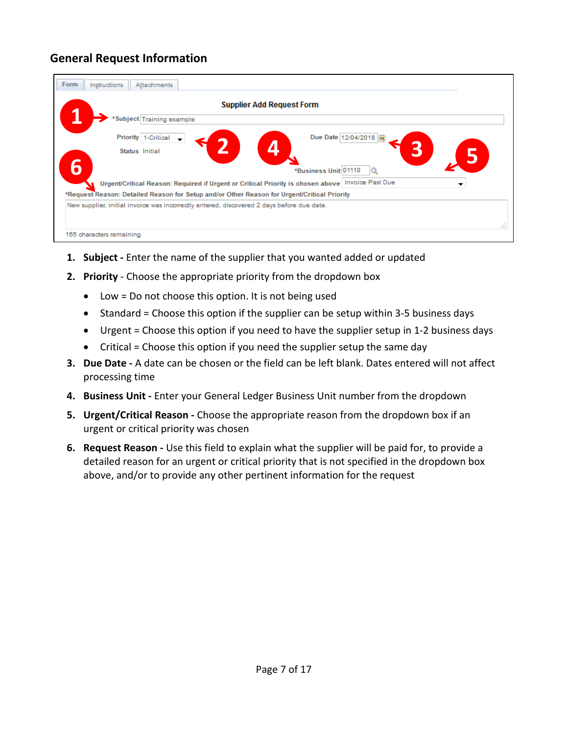### <span id="page-6-0"></span>**General Request Information**

| Subject Training example                                                                    |                                                                                                         |
|---------------------------------------------------------------------------------------------|---------------------------------------------------------------------------------------------------------|
| Priority<br>1-Critical                                                                      | Due Date 12/04/2018  開                                                                                  |
| Status Initial                                                                              | $\boldsymbol{\varOmega}$                                                                                |
|                                                                                             | *Business Unit 01110                                                                                    |
|                                                                                             | Urgent/Critical Reason: Required if Urgent or Critical Priority is chosen above   Invoice Past Due<br>▼ |
| *Request Reason: Detailed Reason for Setup and/or Other Reason for Urgent/Critical Priority |                                                                                                         |
| New supplier, initial invoice was incorrectly entered, discovered 2 days before due date.   |                                                                                                         |

- **1. Subject -** Enter the name of the supplier that you wanted added or updated
- **2. Priority** Choose the appropriate priority from the dropdown box
	- Low = Do not choose this option. It is not being used
	- Standard = Choose this option if the supplier can be setup within 3-5 business days
	- Urgent = Choose this option if you need to have the supplier setup in 1-2 business days
	- Critical = Choose this option if you need the supplier setup the same day
- **3. Due Date -** A date can be chosen or the field can be left blank. Dates entered will not affect processing time
- **4. Business Unit -** Enter your General Ledger Business Unit number from the dropdown
- **5. Urgent/Critical Reason -** Choose the appropriate reason from the dropdown box if an urgent or critical priority was chosen
- **6. Request Reason -** Use this field to explain what the supplier will be paid for, to provide a detailed reason for an urgent or critical priority that is not specified in the dropdown box above, and/or to provide any other pertinent information for the request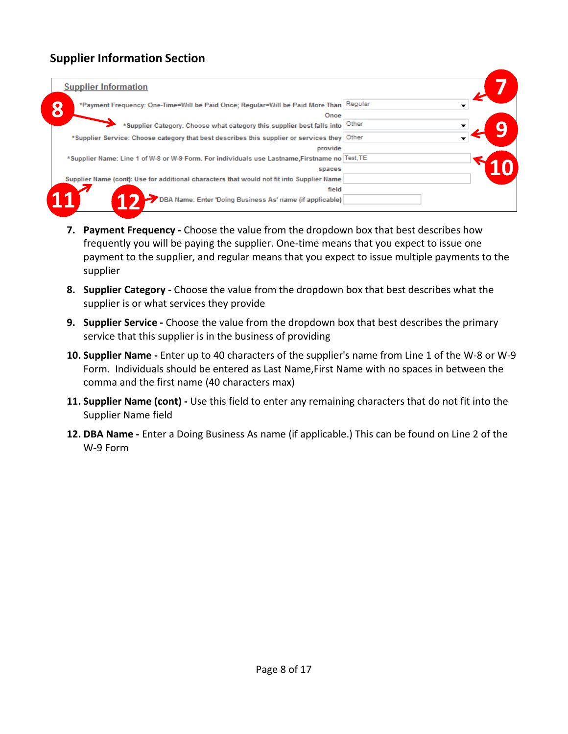### <span id="page-7-0"></span>**Supplier Information Section**

| <b>Supplier Information</b>                                                                    |  |
|------------------------------------------------------------------------------------------------|--|
| *Payment Frequency: One-Time=Will be Paid Once; Regular=Will be Paid More Than Regular         |  |
| Once                                                                                           |  |
| *Supplier Category: Choose what category this supplier best falls into Other                   |  |
| *Supplier Service: Choose category that best describes this supplier or services they Other    |  |
| provide                                                                                        |  |
| *Supplier Name: Line 1 of W-8 or W-9 Form. For individuals use Lastname, Firstname no Test, TE |  |
| spaces                                                                                         |  |
| Supplier Name (cont): Use for additional characters that would not fit into Supplier Name      |  |
| field                                                                                          |  |
| 'DBA Name: Enter 'Doing Business As' name (if applicable)                                      |  |

- **7. Payment Frequency -** Choose the value from the dropdown box that best describes how frequently you will be paying the supplier. One-time means that you expect to issue one payment to the supplier, and regular means that you expect to issue multiple payments to the supplier
- **8. Supplier Category -** Choose the value from the dropdown box that best describes what the supplier is or what services they provide
- **9. Supplier Service -** Choose the value from the dropdown box that best describes the primary service that this supplier is in the business of providing
- **10. Supplier Name -** Enter up to 40 characters of the supplier's name from Line 1 of the W-8 or W-9 Form. Individuals should be entered as Last Name,First Name with no spaces in between the comma and the first name (40 characters max)
- **11. Supplier Name (cont) -** Use this field to enter any remaining characters that do not fit into the Supplier Name field
- **12. DBA Name -** Enter a Doing Business As name (if applicable.) This can be found on Line 2 of the W-9 Form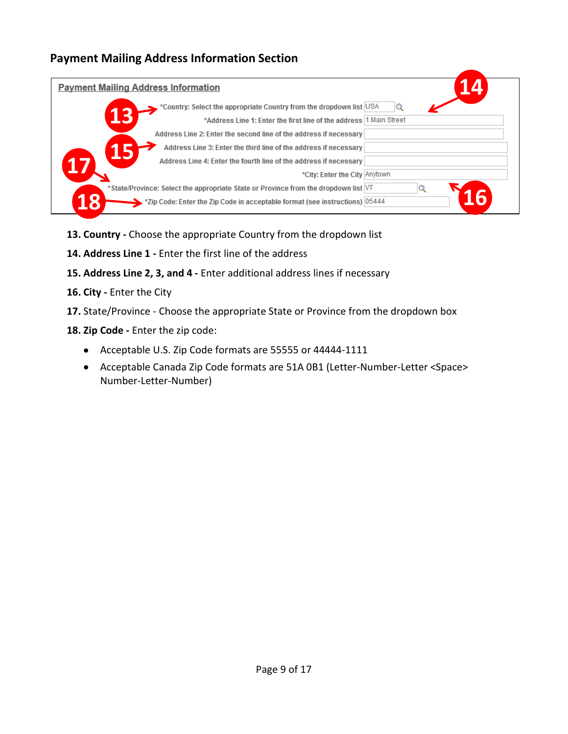### <span id="page-8-0"></span>**Payment Mailing Address Information Section**

| <b>Payment Mailing Address Information</b> |                                                                                                                                           |  |
|--------------------------------------------|-------------------------------------------------------------------------------------------------------------------------------------------|--|
|                                            | *Country: Select the appropriate Country from the dropdown list USA<br>*Address Line 1: Enter the first line of the address 1 Main Street |  |
|                                            | Address Line 2: Enter the second line of the address if necessary                                                                         |  |
|                                            | Address Line 3: Enter the third line of the address if necessary<br>Address Line 4: Enter the fourth line of the address if necessary     |  |
|                                            | *City: Enter the City Anytown<br>*State/Province: Select the appropriate State or Province from the dropdown list VT                      |  |
|                                            | *Zip Code: Enter the Zip Code in acceptable format (see instructions) 05444                                                               |  |

- **13. Country -** Choose the appropriate Country from the dropdown list
- **14. Address Line 1 -** Enter the first line of the address
- **15. Address Line 2, 3, and 4 -** Enter additional address lines if necessary
- **16. City -** Enter the City
- **17.** State/Province Choose the appropriate State or Province from the dropdown box
- **18. Zip Code -** Enter the zip code:
	- Acceptable U.S. Zip Code formats are 55555 or 44444-1111
	- Acceptable Canada Zip Code formats are 51A 0B1 (Letter-Number-Letter <Space> Number-Letter-Number)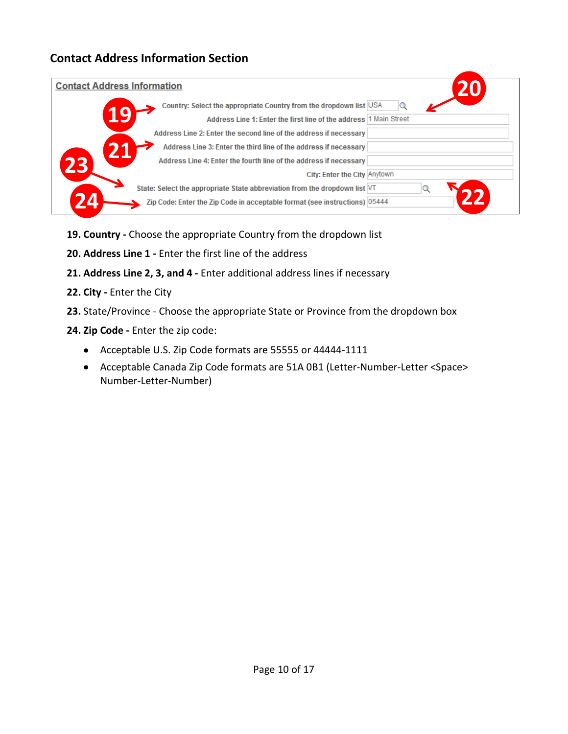### <span id="page-9-0"></span>**Contact Address Information Section**

| <b>Contact Address Information</b> |                                                                            |
|------------------------------------|----------------------------------------------------------------------------|
|                                    | Country: Select the appropriate Country from the dropdown list USA<br>Q    |
|                                    | Address Line 1: Enter the first line of the address 1 Main Street          |
|                                    | Address Line 2: Enter the second line of the address if necessary          |
|                                    | Address Line 3: Enter the third line of the address if necessary           |
| 23                                 | Address Line 4: Enter the fourth line of the address if necessary          |
|                                    | City: Enter the City Anytown                                               |
|                                    | State: Select the appropriate State abbreviation from the dropdown list VT |
|                                    | Zip Code: Enter the Zip Code in acceptable format (see instructions) 05444 |

- **19. Country -** Choose the appropriate Country from the dropdown list
- **20. Address Line 1 -** Enter the first line of the address
- **21. Address Line 2, 3, and 4 -** Enter additional address lines if necessary
- **22. City -** Enter the City
- **23.** State/Province Choose the appropriate State or Province from the dropdown box
- **24. Zip Code -** Enter the zip code:
	- Acceptable U.S. Zip Code formats are 55555 or 44444-1111
	- Acceptable Canada Zip Code formats are 51A 0B1 (Letter-Number-Letter <Space> Number-Letter-Number)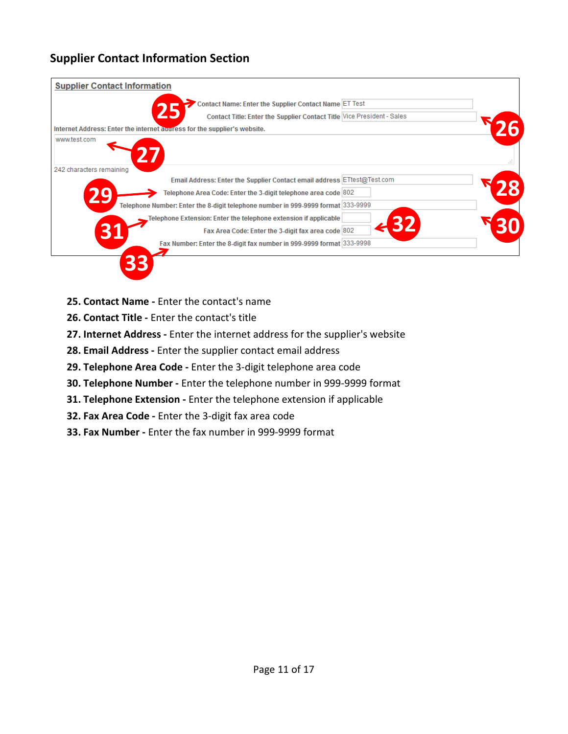### <span id="page-10-0"></span>**Supplier Contact Information Section**



- **25. Contact Name -** Enter the contact's name
- **26. Contact Title -** Enter the contact's title
- **27. Internet Address -** Enter the internet address for the supplier's website
- **28. Email Address -** Enter the supplier contact email address
- **29. Telephone Area Code -** Enter the 3-digit telephone area code
- **30. Telephone Number -** Enter the telephone number in 999-9999 format
- **31. Telephone Extension -** Enter the telephone extension if applicable
- **32. Fax Area Code -** Enter the 3-digit fax area code
- **33. Fax Number -** Enter the fax number in 999-9999 format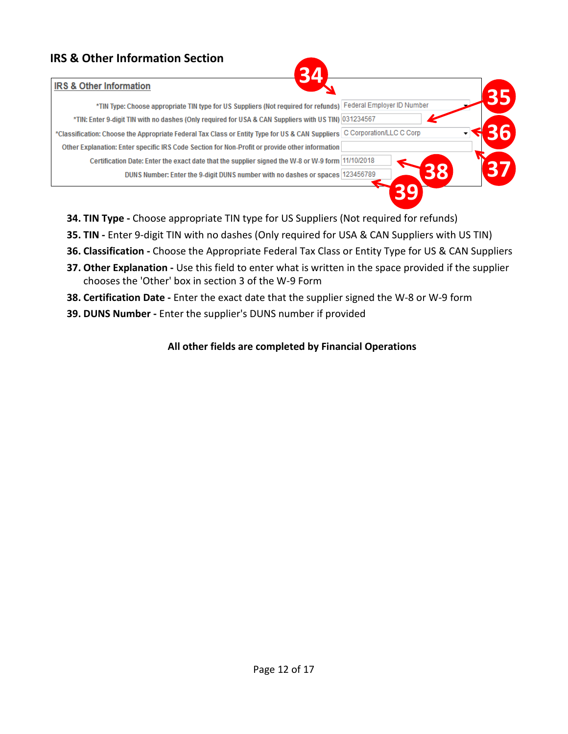### <span id="page-11-0"></span>**IRS & Other Information Section**

#### **IDS & Other Information**

| <b>IRS &amp; Other Information</b>                                                                            |                          |
|---------------------------------------------------------------------------------------------------------------|--------------------------|
| *TIN Type: Choose appropriate TIN type for US Suppliers (Not required for refunds) Federal Employer ID Number |                          |
| *TIN: Enter 9-digit TIN with no dashes (Only required for USA & CAN Suppliers with US TIN) 031234567          |                          |
| *Classification: Choose the Appropriate Federal Tax Class or Entity Type for US & CAN Suppliers               | C Corporation/LLC C Corp |
| Other Explanation: Enter specific IRS Code Section for Non-Profit or provide other information                |                          |
| Certification Date: Enter the exact date that the supplier signed the W-8 or W-9 form 11/10/2018              |                          |
| DUNS Number: Enter the 9-digit DUNS number with no dashes or spaces   123456789                               |                          |
|                                                                                                               |                          |

- **34. TIN Type -** Choose appropriate TIN type for US Suppliers (Not required for refunds)
- **35. TIN -** Enter 9-digit TIN with no dashes (Only required for USA & CAN Suppliers with US TIN)
- **36. Classification -** Choose the Appropriate Federal Tax Class or Entity Type for US & CAN Suppliers
- **37. Other Explanation -** Use this field to enter what is written in the space provided if the supplier chooses the 'Other' box in section 3 of the W-9 Form
- **38. Certification Date -** Enter the exact date that the supplier signed the W-8 or W-9 form
- **39. DUNS Number -** Enter the supplier's DUNS number if provided

### **All other fields are completed by Financial Operations**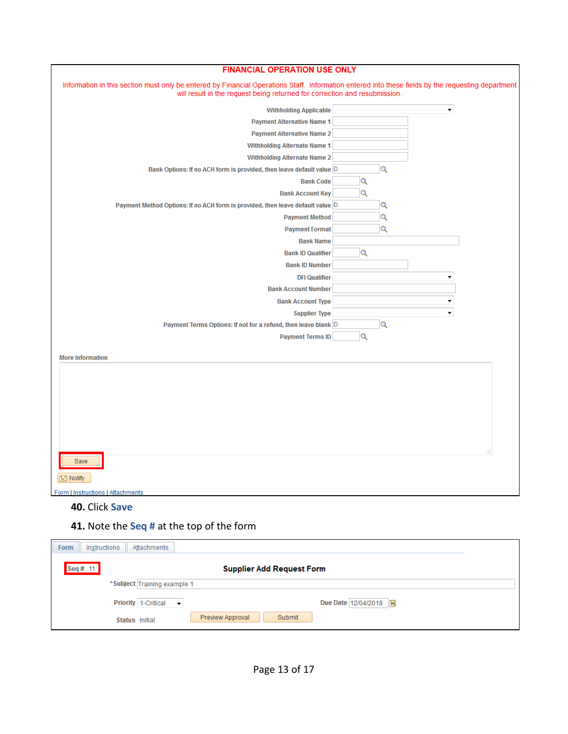| <b>FINANCIAL OPERATION USE ONLY</b>                                                                                                                                                                                              |          |
|----------------------------------------------------------------------------------------------------------------------------------------------------------------------------------------------------------------------------------|----------|
| Information in this section must only be entered by Financial Operations Staff. Information entered into these fields by the requesting department<br>will result in the request being returned for correction and resubmission. |          |
| <b>Withholding Applicable</b>                                                                                                                                                                                                    | ٠        |
| <b>Payment Alternative Name 1</b>                                                                                                                                                                                                |          |
| <b>Payment Alternative Name 2</b>                                                                                                                                                                                                |          |
| <b>Withholding Alternate Name 1</b>                                                                                                                                                                                              |          |
| <b>Withholding Alternate Name 2</b>                                                                                                                                                                                              |          |
| Bank Options: If no ACH form is provided, then leave default value D                                                                                                                                                             | Q        |
| <b>Bank Code</b>                                                                                                                                                                                                                 | $\alpha$ |
| <b>Bank Account Key</b>                                                                                                                                                                                                          | $\alpha$ |
| Payment Method Options: If no ACH form is provided, then leave default value D                                                                                                                                                   | Q        |
| <b>Payment Method</b>                                                                                                                                                                                                            | Q        |
| <b>Payment Format</b>                                                                                                                                                                                                            | Q        |
| <b>Bank Name</b>                                                                                                                                                                                                                 |          |
| <b>Bank ID Qualifier</b>                                                                                                                                                                                                         | $\alpha$ |
| <b>Bank ID Number</b>                                                                                                                                                                                                            |          |
| <b>DFI Qualifier</b>                                                                                                                                                                                                             | ۰        |
| <b>Bank Account Number</b>                                                                                                                                                                                                       |          |
| <b>Bank Account Type</b>                                                                                                                                                                                                         | ▼        |
| <b>Supplier Type</b>                                                                                                                                                                                                             | ٠        |
| Payment Terms Options: If not for a refund, then leave blank D                                                                                                                                                                   | Q        |
| <b>Payment Terms ID</b>                                                                                                                                                                                                          | $\alpha$ |
| <b>More Information</b>                                                                                                                                                                                                          |          |
|                                                                                                                                                                                                                                  |          |
|                                                                                                                                                                                                                                  |          |
|                                                                                                                                                                                                                                  |          |
|                                                                                                                                                                                                                                  |          |
|                                                                                                                                                                                                                                  |          |
|                                                                                                                                                                                                                                  |          |
|                                                                                                                                                                                                                                  |          |
|                                                                                                                                                                                                                                  |          |
| Save                                                                                                                                                                                                                             |          |
| $\equiv$ Notify                                                                                                                                                                                                                  |          |
| Form   Instructions   Attachments                                                                                                                                                                                                |          |

### **40.** Click **Save**

### **41.** Note the **Seq #** at the top of the form

| Instructions<br>Attachments<br><b>Form</b> |                                  |
|--------------------------------------------|----------------------------------|
| Seq# 11                                    | <b>Supplier Add Request Form</b> |
|                                            | *Subject Training example 1      |
| Priority 1-Critical $\blacktriangleright$  | Due Date 12/04/2018  司           |
| Status Initial                             | Preview Approval<br>Submit       |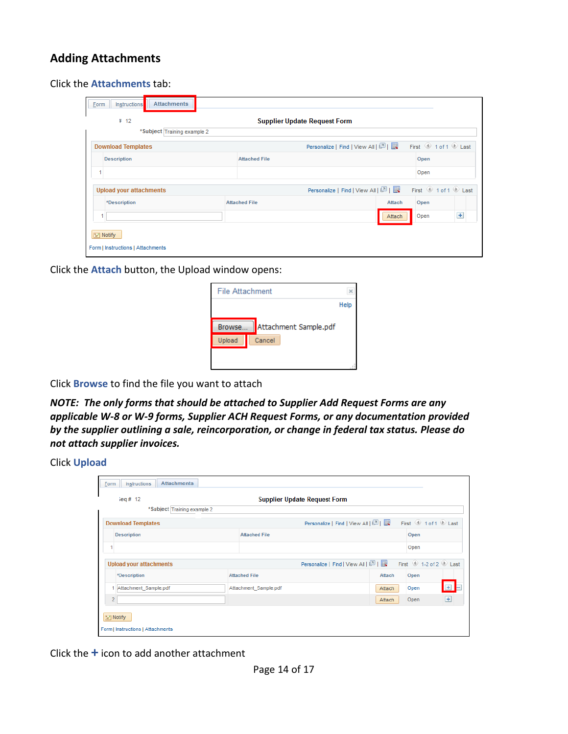### <span id="page-13-0"></span>**Adding Attachments**

Click the **Attachments** tab:

| # 12                           |                      | <b>Supplier Update Request Form</b>                          |       |
|--------------------------------|----------------------|--------------------------------------------------------------|-------|
| *Subject Training example 2    |                      |                                                              |       |
| <b>Download Templates</b>      |                      | First 1 of 1 D Last<br>Personalize   Find   View All   2     |       |
| <b>Description</b>             | <b>Attached File</b> | Open                                                         |       |
|                                |                      | Open                                                         |       |
| <b>Upload your attachments</b> |                      | First 1 of 1 2 Last<br>Personalize   Find   View All   2   民 |       |
| *Description                   | <b>Attached File</b> | Attach<br>Open                                               |       |
|                                |                      | Open<br>Attach                                               | $\pm$ |

Click the **Attach** button, the Upload window opens:

| File Attachment |                       |      |
|-----------------|-----------------------|------|
|                 |                       | Help |
| Browse          | Attachment Sample.pdf |      |
| Upload          | Cancel                |      |
|                 |                       |      |
|                 |                       |      |

Click **Browse** to find the file you want to attach

*NOTE: The only forms that should be attached to Supplier Add Request Forms are any applicable W-8 or W-9 forms, Supplier ACH Request Forms, or any documentation provided by the supplier outlining a sale, reincorporation, or change in federal tax status. Please do not attach supplier invoices.*

#### Click **Upload**

| ieq # 12<br>*Subject Training example 2        | <b>Supplier Update Request Form</b> |                                                                                             |
|------------------------------------------------|-------------------------------------|---------------------------------------------------------------------------------------------|
| <b>Download Templates</b>                      |                                     | First 1 of 1 D Last<br>Personalize   Find   View All   2                                    |
| <b>Description</b>                             | <b>Attached File</b>                | Open                                                                                        |
|                                                |                                     | Open                                                                                        |
| <b>Upload your attachments</b><br>*Description | <b>Attached File</b>                | First $\bigcirc$ 1-2 of 2 Last<br>Personalize   Find   View All   8      <br>Attach<br>Open |
| Attachment Sample.pdf                          | Attachment Sample.pdf               | $+$<br>Open<br>Attach                                                                       |
| $\overline{2}$                                 |                                     | $\left  + \right $<br>Open<br>Attach                                                        |

Click the **+** icon to add another attachment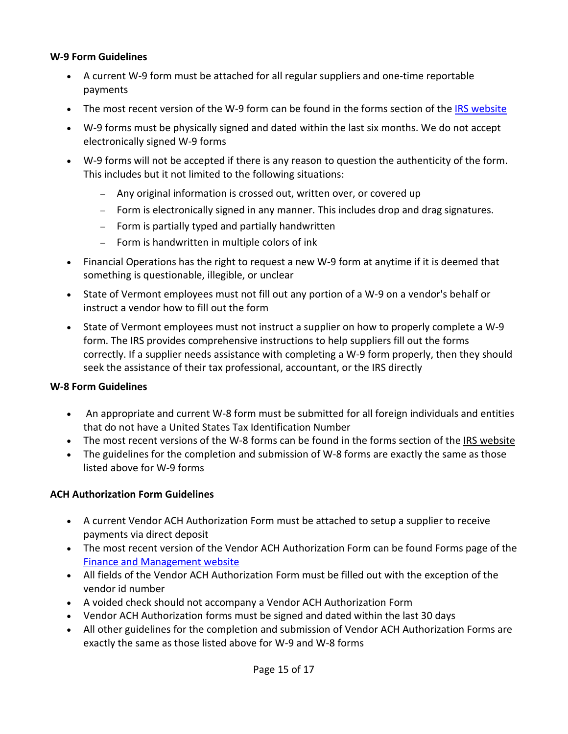#### **W-9 Form Guidelines**

- A current W-9 form must be attached for all regular suppliers and one-time reportable payments
- The most recent version of the W-9 form can be found in the forms section of the [IRS website](https://www.irs.gov/forms-instructions)
- W-9 forms must be physically signed and dated within the last six months. We do not accept electronically signed W-9 forms
- W-9 forms will not be accepted if there is any reason to question the authenticity of the form. This includes but it not limited to the following situations:
	- − Any original information is crossed out, written over, or covered up
	- − Form is electronically signed in any manner. This includes drop and drag signatures.
	- − Form is partially typed and partially handwritten
	- − Form is handwritten in multiple colors of ink
- Financial Operations has the right to request a new W-9 form at anytime if it is deemed that something is questionable, illegible, or unclear
- State of Vermont employees must not fill out any portion of a W-9 on a vendor's behalf or instruct a vendor how to fill out the form
- State of Vermont employees must not instruct a supplier on how to properly complete a W-9 form. The IRS provides comprehensive instructions to help suppliers fill out the forms correctly. If a supplier needs assistance with completing a W-9 form properly, then they should seek the assistance of their tax professional, accountant, or the IRS directly

#### **W-8 Form Guidelines**

- An appropriate and current W-8 form must be submitted for all foreign individuals and entities that do not have a United States Tax Identification Number
- The most recent versions of the W-8 forms can be found in the forms section of the [IRS website](https://www.irs.gov/forms-instructions)
- The guidelines for the completion and submission of W-8 forms are exactly the same as those listed above for W-9 forms

#### **ACH Authorization Form Guidelines**

- A current Vendor ACH Authorization Form must be attached to setup a supplier to receive payments via direct deposit
- The most recent version of the Vendor ACH Authorization Form can be found Forms page of the [Finance and Management website](http://www.finance.vermont.gov/forms/vision)
- All fields of the Vendor ACH Authorization Form must be filled out with the exception of the vendor id number
- A voided check should not accompany a Vendor ACH Authorization Form
- Vendor ACH Authorization forms must be signed and dated within the last 30 days
- All other guidelines for the completion and submission of Vendor ACH Authorization Forms are exactly the same as those listed above for W-9 and W-8 forms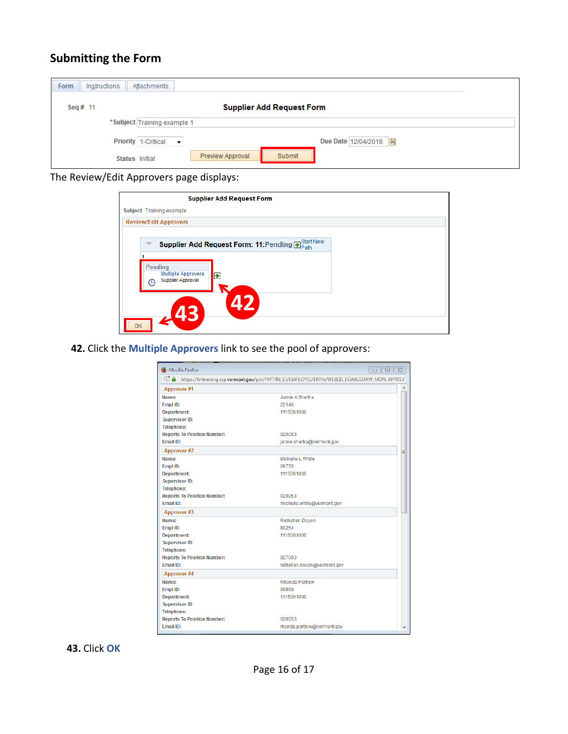# <span id="page-15-0"></span>**Submitting the Form**

| Instructions<br><b>Form</b> | Attachments                                         |
|-----------------------------|-----------------------------------------------------|
| Seq # $11$                  | <b>Supplier Add Request Form</b>                    |
|                             | *Subject Training example 1                         |
|                             | Due Date 12/04/2018<br>Priority 1-Critical v        |
|                             | <b>Preview Approval</b><br>Submit<br>Status Initial |

The Review/Edit Approvers page displays:

| <b>Supplier Add Request Form</b>                                                  |  |
|-----------------------------------------------------------------------------------|--|
| Subject Training example                                                          |  |
| <b>Review/Edit Approvers</b>                                                      |  |
| Supplier Add Request Form: 11: Pending $\text{F}_{\text{Path}}^{\text{Stat New}}$ |  |
| Pending<br><b>Multiple Approvers</b><br>ł÷<br><b>Supplier Approval</b><br>ч       |  |
| OK                                                                                |  |

**42.** Click the **Multiple Approvers** link to see the pool of approvers:

| Mozilla Firefox                                                                                          | $\Sigma$<br>$\Box$<br>$\Box$ |  |  |  |
|----------------------------------------------------------------------------------------------------------|------------------------------|--|--|--|
| $G \cap$<br>https://fintraining.erp.vermont.gov/psc/FMTRN_13/EMPLOYEE/ERP/s/WEBLIB_EOAW.EOAW_MON_APPRS.F |                              |  |  |  |
| <b>Approver #1</b>                                                                                       | ۸                            |  |  |  |
| Name:                                                                                                    | Jamie A Sheltra              |  |  |  |
| Empl ID:                                                                                                 | 22146                        |  |  |  |
| <b>Department:</b>                                                                                       | 1115001000                   |  |  |  |
| <b>Supervisor ID:</b>                                                                                    |                              |  |  |  |
| <b>Telephone:</b>                                                                                        |                              |  |  |  |
| <b>Reports To Position Number:</b>                                                                       | 020053                       |  |  |  |
| <b>Fmail ID:</b>                                                                                         | jamie.sheltra@vermont.gov    |  |  |  |
| Approver #2                                                                                              | Ξ                            |  |  |  |
| Name:                                                                                                    | Michelle L White             |  |  |  |
| Empl ID:                                                                                                 | 09735                        |  |  |  |
| Department:                                                                                              | 1115001000                   |  |  |  |
| <b>Supervisor ID:</b>                                                                                    |                              |  |  |  |
| <b>Telephone:</b>                                                                                        |                              |  |  |  |
| <b>Reports To Position Number:</b>                                                                       | 020053                       |  |  |  |
| Email ID:                                                                                                | michelle.white@vermont.gov   |  |  |  |
| Approver #3                                                                                              |                              |  |  |  |
| Name:                                                                                                    | <b>Ruthellen Doyon</b>       |  |  |  |
| Empl ID:                                                                                                 | 80254                        |  |  |  |
| Department:                                                                                              | 1115001000                   |  |  |  |
| <b>Supervisor ID:</b>                                                                                    |                              |  |  |  |
| <b>Telephone:</b>                                                                                        |                              |  |  |  |
| <b>Reports To Position Number:</b>                                                                       | 027003                       |  |  |  |
| Email ID:                                                                                                | ruthellen.doyon@vermont.gov  |  |  |  |
| Approver #4                                                                                              |                              |  |  |  |
| Name:                                                                                                    | Rhonda Partlow               |  |  |  |
| Empl ID:                                                                                                 | 09869                        |  |  |  |
| <b>Department:</b>                                                                                       | 1115001000                   |  |  |  |
| <b>Supervisor ID:</b>                                                                                    |                              |  |  |  |
| <b>Telephone:</b>                                                                                        |                              |  |  |  |
| <b>Reports To Position Number:</b>                                                                       | 020053                       |  |  |  |
| <b>Email ID:</b>                                                                                         | rhonda.partlow@vermont.gov   |  |  |  |

**43.** Click **OK**